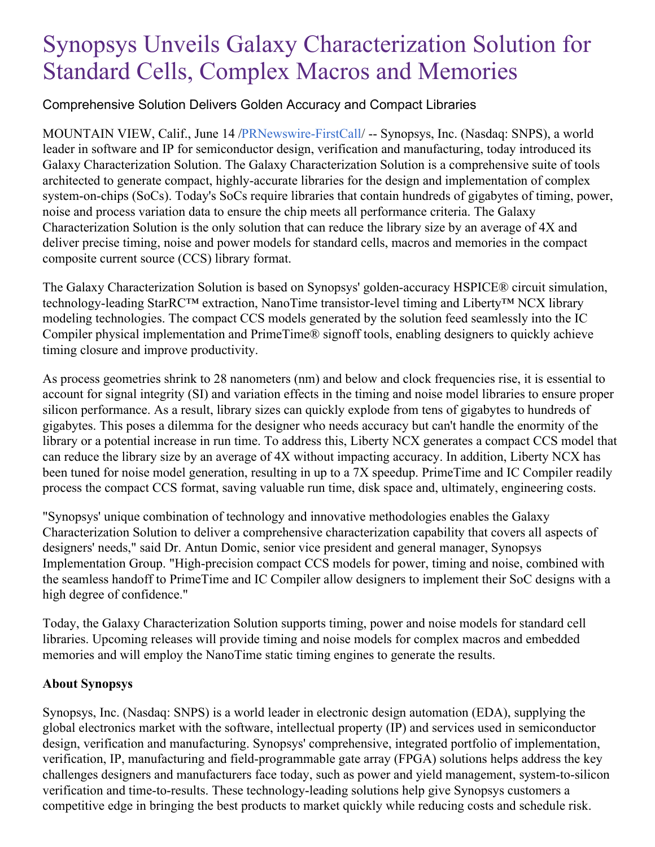## Synopsys Unveils Galaxy Characterization Solution for Standard Cells, Complex Macros and Memories

## Comprehensive Solution Delivers Golden Accuracy and Compact Libraries

MOUNTAIN VIEW, Calif., June 14 [/PRNewswire-FirstCall](http://www.prnewswire.com/)/ -- Synopsys, Inc. (Nasdaq: SNPS), a world leader in software and IP for semiconductor design, verification and manufacturing, today introduced its Galaxy Characterization Solution. The Galaxy Characterization Solution is a comprehensive suite of tools architected to generate compact, highly-accurate libraries for the design and implementation of complex system-on-chips (SoCs). Today's SoCs require libraries that contain hundreds of gigabytes of timing, power, noise and process variation data to ensure the chip meets all performance criteria. The Galaxy Characterization Solution is the only solution that can reduce the library size by an average of 4X and deliver precise timing, noise and power models for standard cells, macros and memories in the compact composite current source (CCS) library format.

The Galaxy Characterization Solution is based on Synopsys' golden-accuracy HSPICE® circuit simulation, technology-leading StarRC™ extraction, NanoTime transistor-level timing and Liberty™ NCX library modeling technologies. The compact CCS models generated by the solution feed seamlessly into the IC Compiler physical implementation and PrimeTime® signoff tools, enabling designers to quickly achieve timing closure and improve productivity.

As process geometries shrink to 28 nanometers (nm) and below and clock frequencies rise, it is essential to account for signal integrity (SI) and variation effects in the timing and noise model libraries to ensure proper silicon performance. As a result, library sizes can quickly explode from tens of gigabytes to hundreds of gigabytes. This poses a dilemma for the designer who needs accuracy but can't handle the enormity of the library or a potential increase in run time. To address this, Liberty NCX generates a compact CCS model that can reduce the library size by an average of 4X without impacting accuracy. In addition, Liberty NCX has been tuned for noise model generation, resulting in up to a 7X speedup. PrimeTime and IC Compiler readily process the compact CCS format, saving valuable run time, disk space and, ultimately, engineering costs.

"Synopsys' unique combination of technology and innovative methodologies enables the Galaxy Characterization Solution to deliver a comprehensive characterization capability that covers all aspects of designers' needs," said Dr. Antun Domic, senior vice president and general manager, Synopsys Implementation Group. "High-precision compact CCS models for power, timing and noise, combined with the seamless handoff to PrimeTime and IC Compiler allow designers to implement their SoC designs with a high degree of confidence."

Today, the Galaxy Characterization Solution supports timing, power and noise models for standard cell libraries. Upcoming releases will provide timing and noise models for complex macros and embedded memories and will employ the NanoTime static timing engines to generate the results.

## **About Synopsys**

Synopsys, Inc. (Nasdaq: SNPS) is a world leader in electronic design automation (EDA), supplying the global electronics market with the software, intellectual property (IP) and services used in semiconductor design, verification and manufacturing. Synopsys' comprehensive, integrated portfolio of implementation, verification, IP, manufacturing and field-programmable gate array (FPGA) solutions helps address the key challenges designers and manufacturers face today, such as power and yield management, system-to-silicon verification and time-to-results. These technology-leading solutions help give Synopsys customers a competitive edge in bringing the best products to market quickly while reducing costs and schedule risk.